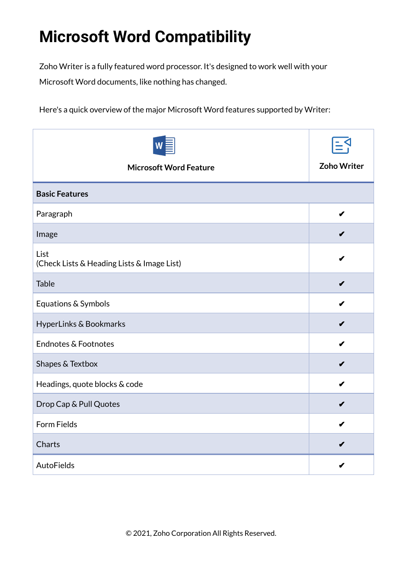## **Microsoft Word Compatibility**

Zoho Writer is a fully featured word processor. It's designed to work well with your Microsoft Word documents, like nothing has changed.

Here's a quick overview of the major Microsoft Word features supported by Writer:

| <b>Microsoft Word Feature</b>                      | <b>Zoho Writer</b> |
|----------------------------------------------------|--------------------|
| <b>Basic Features</b>                              |                    |
| Paragraph                                          | ✔                  |
| Image                                              | ✔                  |
| List<br>(Check Lists & Heading Lists & Image List) |                    |
| <b>Table</b>                                       | ✔                  |
| Equations & Symbols                                | ✔                  |
| HyperLinks & Bookmarks                             |                    |
| Endnotes & Footnotes                               | Í                  |
| Shapes & Textbox                                   | Í                  |
| Headings, quote blocks & code                      | J                  |
| Drop Cap & Pull Quotes                             | ✔                  |
| <b>Form Fields</b>                                 | J                  |
| Charts                                             |                    |
| AutoFields                                         |                    |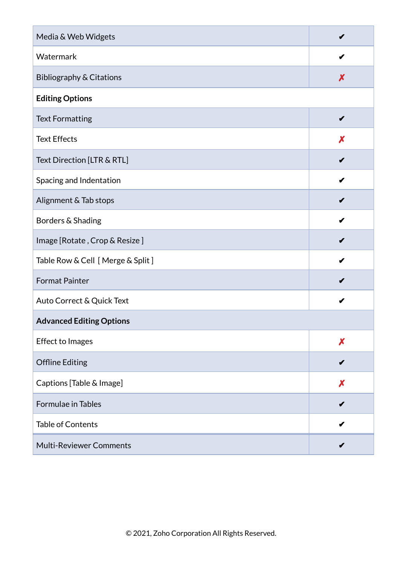| Media & Web Widgets                 | J |
|-------------------------------------|---|
| Watermark                           |   |
| <b>Bibliography &amp; Citations</b> | X |
| <b>Editing Options</b>              |   |
| <b>Text Formatting</b>              | ✔ |
| <b>Text Effects</b>                 | X |
| Text Direction [LTR & RTL]          |   |
| Spacing and Indentation             |   |
| Alignment & Tab stops               |   |
| Borders & Shading                   |   |
| Image [Rotate, Crop & Resize]       |   |
| Table Row & Cell [ Merge & Split ]  |   |
| <b>Format Painter</b>               |   |
| Auto Correct & Quick Text           |   |
| <b>Advanced Editing Options</b>     |   |
| <b>Effect to Images</b>             | X |
| <b>Offline Editing</b>              | Í |
| Captions [Table & Image]            | X |
| Formulae in Tables                  | Í |
| <b>Table of Contents</b>            |   |
| <b>Multi-Reviewer Comments</b>      |   |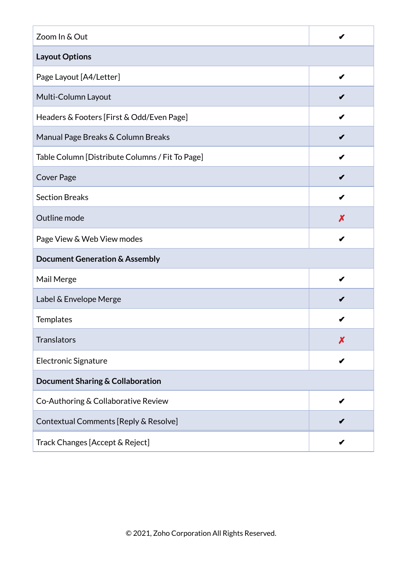| Zoom In & Out                                   |   |  |
|-------------------------------------------------|---|--|
| <b>Layout Options</b>                           |   |  |
| Page Layout [A4/Letter]                         | J |  |
| Multi-Column Layout                             |   |  |
| Headers & Footers [First & Odd/Even Page]       |   |  |
| Manual Page Breaks & Column Breaks              |   |  |
| Table Column [Distribute Columns / Fit To Page] |   |  |
| Cover Page                                      |   |  |
| <b>Section Breaks</b>                           | Í |  |
| Outline mode                                    | X |  |
| Page View & Web View modes                      | ✔ |  |
| <b>Document Generation &amp; Assembly</b>       |   |  |
| Mail Merge                                      | J |  |
| Label & Envelope Merge                          |   |  |
| Templates                                       |   |  |
| <b>Translators</b>                              | Х |  |
| Electronic Signature                            |   |  |
| Document Sharing & Collaboration                |   |  |
| Co-Authoring & Collaborative Review             |   |  |
| Contextual Comments [Reply & Resolve]           |   |  |
| Track Changes [Accept & Reject]                 | ✔ |  |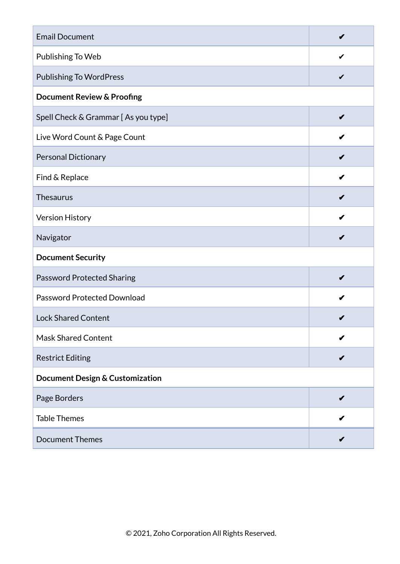| <b>Email Document</b>                      | J |  |
|--------------------------------------------|---|--|
| Publishing To Web                          | ✔ |  |
| <b>Publishing To WordPress</b>             | ✔ |  |
| <b>Document Review &amp; Proofing</b>      |   |  |
| Spell Check & Grammar [As you type]        | V |  |
| Live Word Count & Page Count               |   |  |
| Personal Dictionary                        |   |  |
| Find & Replace                             |   |  |
| <b>Thesaurus</b>                           |   |  |
| <b>Version History</b>                     |   |  |
| Navigator                                  |   |  |
| <b>Document Security</b>                   |   |  |
| <b>Password Protected Sharing</b>          | V |  |
| <b>Password Protected Download</b>         |   |  |
| <b>Lock Shared Content</b>                 |   |  |
| <b>Mask Shared Content</b>                 | J |  |
| <b>Restrict Editing</b>                    | ✔ |  |
| <b>Document Design &amp; Customization</b> |   |  |
| Page Borders                               | ✔ |  |
| <b>Table Themes</b>                        | V |  |
| <b>Document Themes</b>                     | J |  |